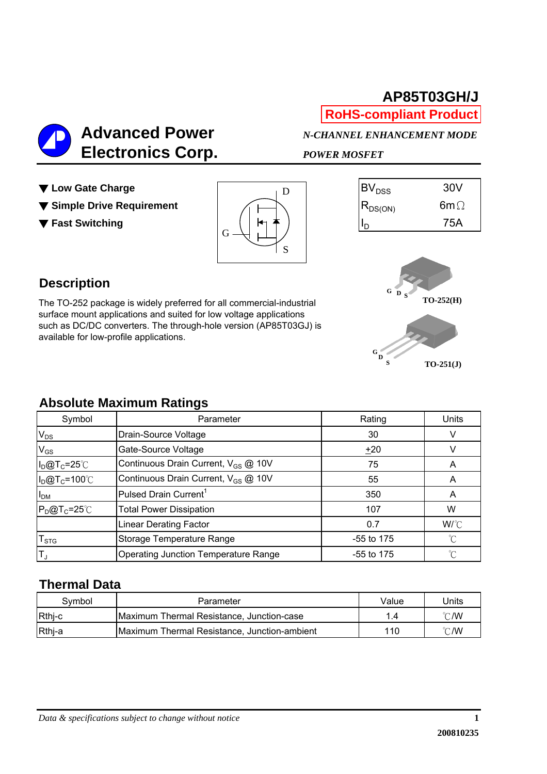## **AP85T03GH/J RoHS-compliant Product**

 **Electronics Corp.** *POWER MOSFET*

 **Advanced Power** *N-CHANNEL ENHANCEMENT MODE*

- 
- ▼ Simple Drive Requirement  $\overline{R}_{DS(ON)}$  R<sub>DS(ON)</sub> 6mΩ
- 







The TO-252 package is widely preferred for all commercial-industrial surface mount applications and suited for low voltage applications such as DC/DC converters. The through-hole version (AP85T03GJ) is available for low-profile applications.



#### **Absolute Maximum Ratings**

| Symbol               | Parameter                                       | Rating       | Units        |
|----------------------|-------------------------------------------------|--------------|--------------|
| $V_{DS}$             | Drain-Source Voltage                            | 30           |              |
| $V_{GS}$             | Gate-Source Voltage                             | ±20          |              |
| $I_D@T_C=25°C$       | Continuous Drain Current, V <sub>GS</sub> @ 10V | 75           |              |
| $I_D@T_C=100°C$      | Continuous Drain Current, V <sub>GS</sub> @ 10V | 55           |              |
| I <sub>DM</sub>      | Pulsed Drain Current <sup>1</sup>               | 350          | Α            |
| $P_D@T_C=25^\circ C$ | <b>Total Power Dissipation</b>                  | 107          | W            |
|                      | <b>Linear Derating Factor</b>                   | 0.7          | W/°C         |
| T <sub>STG</sub>     | Storage Temperature Range                       | $-55$ to 175 | °C           |
| IT <sub>J</sub>      | Operating Junction Temperature Range            | $-55$ to 175 | $^{\circ}$ C |

#### **Thermal Data**

| Symbol | Parameter                                    | Value | Units          |
|--------|----------------------------------------------|-------|----------------|
| Rthj-c | Maximum Thermal Resistance, Junction-case    | .4    | $^{\circ}$ C/W |
| Rthj-a | Maximum Thermal Resistance, Junction-ambient | 110   | $^{\circ}$ C/W |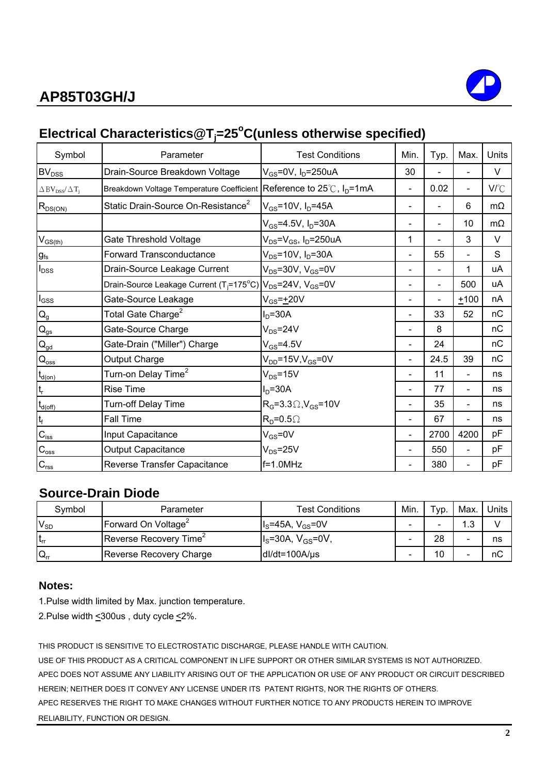# **AP85T03GH/J**



# **Electrical Characteristics@Tj =25o C(unless otherwise specified)**

| Symbol                                               | Parameter                                                                       | <b>Test Conditions</b>                    | Min.                     | Typ. | Max.           | Units        |
|------------------------------------------------------|---------------------------------------------------------------------------------|-------------------------------------------|--------------------------|------|----------------|--------------|
| BV <sub>DSS</sub>                                    | Drain-Source Breakdown Voltage                                                  | $V_{GS}$ =0V, I <sub>D</sub> =250uA       | 30                       |      | $\blacksquare$ | V            |
| $\Delta$ BV <sub>DSS</sub> / $\Delta$ T <sub>i</sub> | Breakdown Voltage Temperature Coefficient Reference to 25℃, I <sub>D</sub> =1mA |                                           | $\blacksquare$           | 0.02 | $\blacksquare$ | $V^{\circ}C$ |
| $R_{DS(ON)}$                                         | Static Drain-Source On-Resistance <sup>2</sup>                                  | $V_{GS}$ =10V, $I_D$ =45A                 | $\blacksquare$           |      | 6              | $m\Omega$    |
|                                                      |                                                                                 | $V_{GS} = 4.5V, I_D = 30A$                |                          | -    | 10             | $m\Omega$    |
| $V_{GS(th)}$                                         | Gate Threshold Voltage                                                          | $V_{DS} = V_{GS}$ , I <sub>D</sub> =250uA | 1                        |      | 3              | V            |
| $g_{\rm fs}$                                         | <b>Forward Transconductance</b>                                                 | $V_{DS} = 10V$ , $I_D = 30A$              |                          | 55   |                | S            |
| $I_{DSS}$                                            | Drain-Source Leakage Current                                                    | $V_{DS}$ =30V, $V_{GS}$ =0V               |                          |      | 1              | uA           |
|                                                      | Drain-Source Leakage Current ( $T_f$ =175°C) $ V_{DS}$ =24V, $V_{GS}$ =0V       |                                           |                          |      | 500            | uA           |
| $I_{GSS}$                                            | Gate-Source Leakage                                                             | $V_{GS} = +20V$                           |                          |      | $+100$         | nA           |
| $\mathsf{Q}_{\mathsf{g}}$                            | Total Gate Charge <sup>2</sup>                                                  | $ID=30A$                                  |                          | 33   | 52             | nC           |
| $\mathbf{Q}_\text{gs}$                               | Gate-Source Charge                                                              | $V_{DS} = 24V$                            |                          | 8    |                | пC           |
| $Q_{\underline{gd}}$                                 | Gate-Drain ("Miller") Charge                                                    | $V_{GS} = 4.5V$                           |                          | 24   |                | nC           |
| $\mathsf{Q}_{\underline{\mathsf{oss}}}$              | Output Charge                                                                   | $V_{DD}$ =15V,V <sub>GS</sub> =0V         |                          | 24.5 | 39             | nC           |
| $t_{\text{d}(on)}$                                   | Turn-on Delay Time <sup>2</sup>                                                 | $V_{DS} = 15V$                            |                          | 11   | $\blacksquare$ | ns           |
| $\mathfrak{t}_{\sf r}$                               | <b>Rise Time</b>                                                                | $ID=30A$                                  |                          | 77   |                | ns           |
| $t_{d(\text{off})}$                                  | Turn-off Delay Time                                                             | $R_G$ =3.3 $\Omega$ , $V_{GS}$ =10V       |                          | 35   |                | ns           |
| $\mathfrak{t}_{\mathsf{f}}$                          | <b>Fall Time</b>                                                                | $R_D = 0.5 \Omega$                        |                          | 67   |                | ns           |
| $C_{\text{iss}}$                                     | Input Capacitance                                                               | $V_{GS} = 0V$                             | $\overline{\phantom{a}}$ | 2700 | 4200           | рF           |
| $C_{\rm oss}$                                        | <b>Output Capacitance</b>                                                       | $V_{DS}$ =25V                             |                          | 550  |                | pF           |
| $C_{\text{rss}}$                                     | Reverse Transfer Capacitance                                                    | $f=1.0$ MHz                               |                          | 380  | $\blacksquare$ | рF           |

#### **Source-Drain Diode**

| Svmbol            | Parameter                          | Test Conditions           | Min. | $\tau_{VD}$ . | Max.       | Units |
|-------------------|------------------------------------|---------------------------|------|---------------|------------|-------|
| $V_{SD}$          | Forward On Voltage <sup>2</sup>    | $IS=45A, VGS=0V$          | -    |               | 10<br>ں. ا |       |
| l t <sub>rr</sub> | Reverse Recovery Time <sup>2</sup> | $I_s = 30A, V_{GS} = 0V,$ |      | 28            |            | ns    |
| $Q_{rr}$          | Reverse Recovery Charge            | $dI/dt = 100A/us$         | -    | 10            |            | nС    |

#### **Notes:**

1.Pulse width limited by Max. junction temperature.

2. Pulse width <a><a>300us</a>, duty cycle<br/> <</a></a></a></a>.

THIS PRODUCT IS SENSITIVE TO ELECTROSTATIC DISCHARGE, PLEASE HANDLE WITH CAUTION.

USE OF THIS PRODUCT AS A CRITICAL COMPONENT IN LIFE SUPPORT OR OTHER SIMILAR SYSTEMS IS NOT AUTHORIZED. APEC DOES NOT ASSUME ANY LIABILITY ARISING OUT OF THE APPLICATION OR USE OF ANY PRODUCT OR CIRCUIT DESCRIBED HEREIN; NEITHER DOES IT CONVEY ANY LICENSE UNDER ITS PATENT RIGHTS, NOR THE RIGHTS OF OTHERS. APEC RESERVES THE RIGHT TO MAKE CHANGES WITHOUT FURTHER NOTICE TO ANY PRODUCTS HEREIN TO IMPROVE RELIABILITY, FUNCTION OR DESIGN.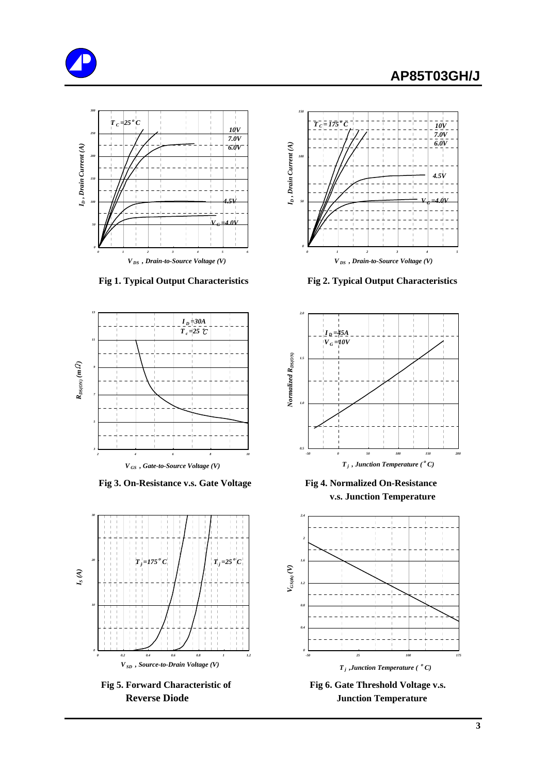#### **AP85T03GH/J**







Fig 3. On-Resistance v.s. Gate Voltage Fig 4. Normalized On-Resistance





 **Fig 1. Typical Output Characteristics Fig 2. Typical Output Characteristics**



**v.s. Junction Temperature**



Fig 5. Forward Characteristic of Fig 6. Gate Threshold Voltage v.s. **Reverse Diode Junction Temperature**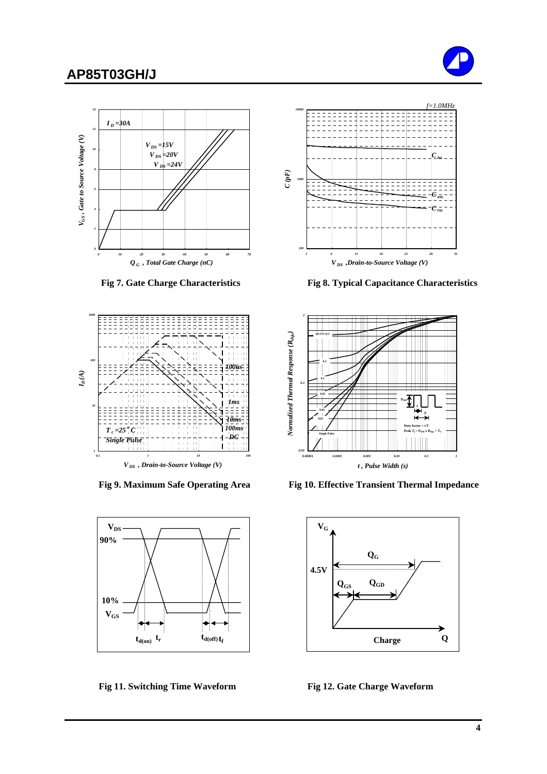## **AP85T03GH/J**









Fig 11. Switching Time Waveform Fig 12. Gate Charge Waveform



 **Fig 7. Gate Charge Characteristics Fig 8. Typical Capacitance Characteristics**



Fig 9. Maximum Safe Operating Area Fig 10. Effective Transient Thermal Impedance

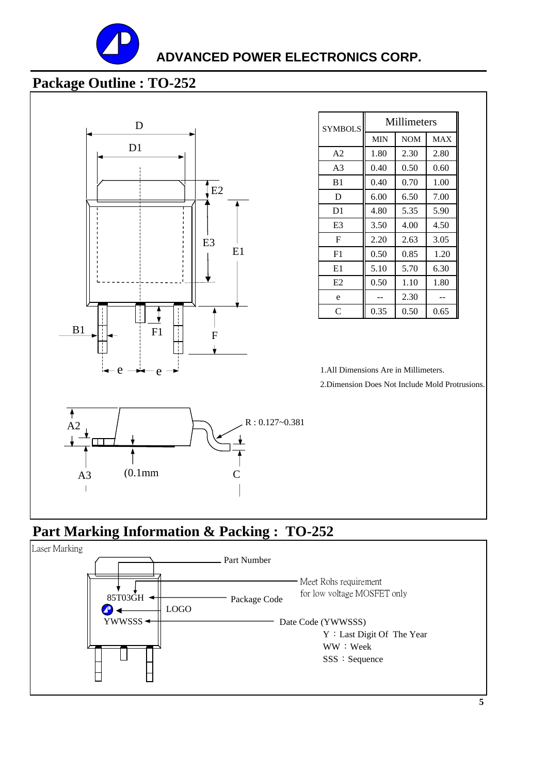

#### **ADVANCED POWER ELECTRONICS CORP.**

# **Package Outline : TO-252**



| <b>SYMBOLS</b> | Millimeters |            |            |  |
|----------------|-------------|------------|------------|--|
|                | <b>MIN</b>  | <b>NOM</b> | <b>MAX</b> |  |
| A <sub>2</sub> | 1.80        | 2.30       | 2.80       |  |
| A <sub>3</sub> | 0.40        | 0.50       | 0.60       |  |
| B <sub>1</sub> | 0.40        | 0.70       | 1.00       |  |
| D              | 6.00        | 6.50       | 7.00       |  |
| D1             | 4.80        | 5.35       | 5.90       |  |
| E3             | 3.50        | 4.00       | 4.50       |  |
| F              | 2.20        | 2.63       | 3.05       |  |
| F1             | 0.50        | 0.85       | 1.20       |  |
| E1             | 5.10        | 5.70       | 6.30       |  |
| E2             | 0.50        | 1.10       | 1.80       |  |
| e              |             | 2.30       |            |  |
| C              | 0.35        | 0.50       | 0.65       |  |

1.All Dimensions Are in Millimeters.

2.Dimension Does Not Include Mold Protrusions.

# **Part Marking Information & Packing : TO-252**